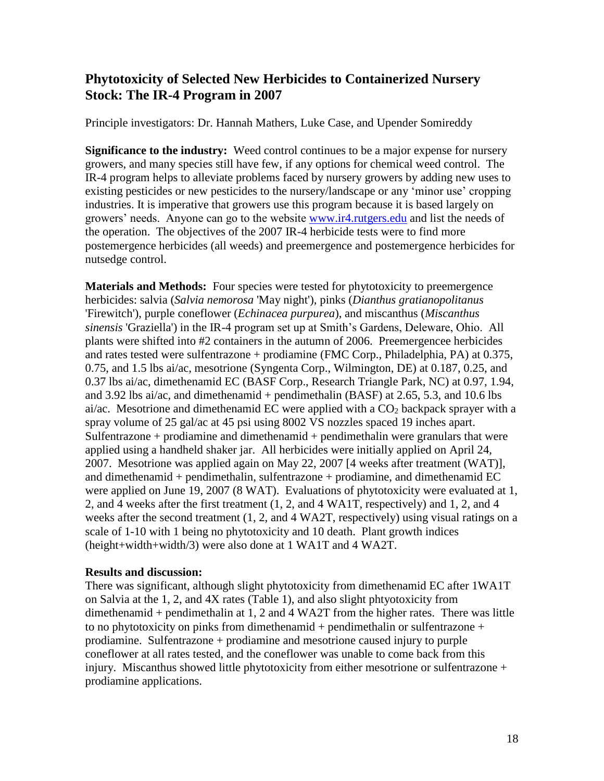## **Phytotoxicity of Selected New Herbicides to Containerized Nursery Stock: The IR-4 Program in 2007**

Principle investigators: Dr. Hannah Mathers, Luke Case, and Upender Somireddy

**Significance to the industry:** Weed control continues to be a major expense for nursery growers, and many species still have few, if any options for chemical weed control. The IR-4 program helps to alleviate problems faced by nursery growers by adding new uses to existing pesticides or new pesticides to the nursery/landscape or any 'minor use' cropping industries. It is imperative that growers use this program because it is based largely on growers' needs. Anyone can go to the website [www.ir4.rutgers.edu](http://www.ir4.rutgers.edu/) and list the needs of the operation. The objectives of the 2007 IR-4 herbicide tests were to find more postemergence herbicides (all weeds) and preemergence and postemergence herbicides for nutsedge control.

**Materials and Methods:** Four species were tested for phytotoxicity to preemergence herbicides: salvia (*Salvia nemorosa* 'May night'), pinks (*Dianthus gratianopolitanus* 'Firewitch'), purple coneflower (*Echinacea purpurea*), and miscanthus (*Miscanthus sinensis* 'Graziella') in the IR-4 program set up at Smith's Gardens, Deleware, Ohio. All plants were shifted into #2 containers in the autumn of 2006. Preemergencee herbicides and rates tested were sulfentrazone + prodiamine (FMC Corp., Philadelphia, PA) at 0.375, 0.75, and 1.5 lbs ai/ac, mesotrione (Syngenta Corp., Wilmington, DE) at 0.187, 0.25, and 0.37 lbs ai/ac, dimethenamid EC (BASF Corp., Research Triangle Park, NC) at 0.97, 1.94, and 3.92 lbs ai/ac, and dimethenamid + pendimethalin (BASF) at 2.65, 5.3, and 10.6 lbs ai/ac. Mesotrione and dimethenamid EC were applied with a CO<sub>2</sub> backpack sprayer with a spray volume of 25 gal/ac at 45 psi using 8002 VS nozzles spaced 19 inches apart. Sulfentrazone + prodiamine and dimethenamid + pendimethalin were granulars that were applied using a handheld shaker jar. All herbicides were initially applied on April 24, 2007. Mesotrione was applied again on May 22, 2007 [4 weeks after treatment (WAT)], and dimethenamid + pendimethalin, sulfentrazone + prodiamine, and dimethenamid EC were applied on June 19, 2007 (8 WAT). Evaluations of phytotoxicity were evaluated at 1, 2, and 4 weeks after the first treatment (1, 2, and 4 WA1T, respectively) and 1, 2, and 4 weeks after the second treatment (1, 2, and 4 WA2T, respectively) using visual ratings on a scale of 1-10 with 1 being no phytotoxicity and 10 death. Plant growth indices (height+width+width/3) were also done at 1 WA1T and 4 WA2T.

## **Results and discussion:**

There was significant, although slight phytotoxicity from dimethenamid EC after 1WA1T on Salvia at the 1, 2, and 4X rates (Table 1), and also slight phtyotoxicity from dimethenamid + pendimethalin at 1, 2 and 4 WA2T from the higher rates. There was little to no phytotoxicity on pinks from dimethenamid + pendimethalin or sulfentrazone + prodiamine. Sulfentrazone + prodiamine and mesotrione caused injury to purple coneflower at all rates tested, and the coneflower was unable to come back from this injury. Miscanthus showed little phytotoxicity from either mesotrione or sulfentrazone + prodiamine applications.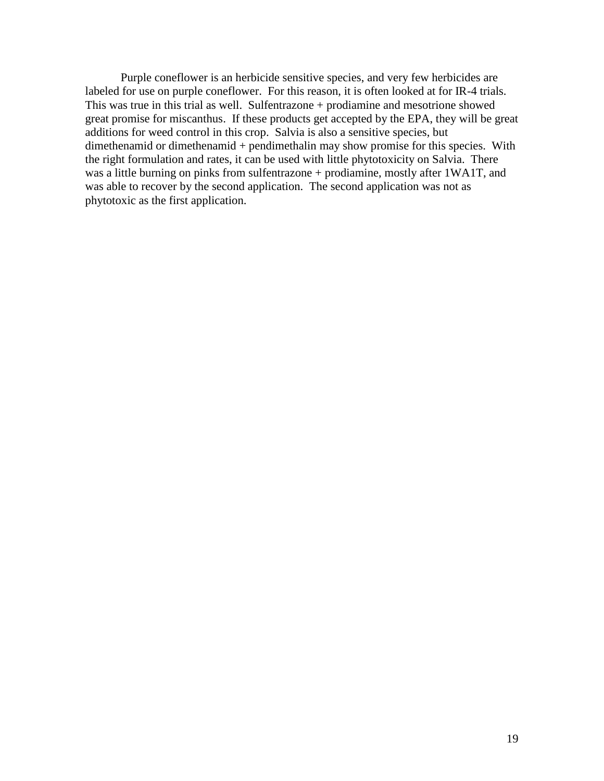Purple coneflower is an herbicide sensitive species, and very few herbicides are labeled for use on purple coneflower. For this reason, it is often looked at for IR-4 trials. This was true in this trial as well. Sulfentrazone + prodiamine and mesotrione showed great promise for miscanthus. If these products get accepted by the EPA, they will be great additions for weed control in this crop. Salvia is also a sensitive species, but dimethenamid or dimethenamid + pendimethalin may show promise for this species. With the right formulation and rates, it can be used with little phytotoxicity on Salvia. There was a little burning on pinks from sulfentrazone + prodiamine, mostly after 1WA1T, and was able to recover by the second application. The second application was not as phytotoxic as the first application.